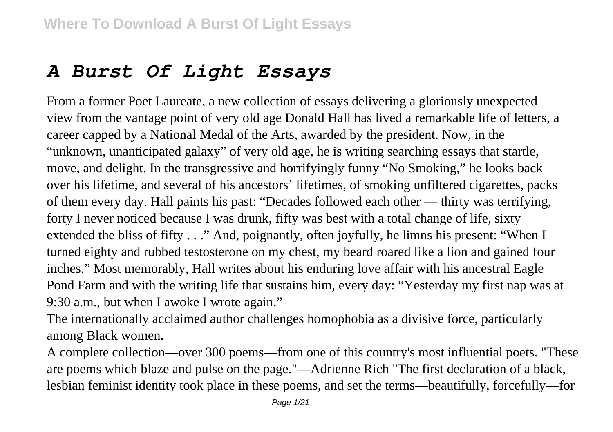## *A Burst Of Light Essays*

From a former Poet Laureate, a new collection of essays delivering a gloriously unexpected view from the vantage point of very old age Donald Hall has lived a remarkable life of letters, a career capped by a National Medal of the Arts, awarded by the president. Now, in the "unknown, unanticipated galaxy" of very old age, he is writing searching essays that startle, move, and delight. In the transgressive and horrifyingly funny "No Smoking," he looks back over his lifetime, and several of his ancestors' lifetimes, of smoking unfiltered cigarettes, packs of them every day. Hall paints his past: "Decades followed each other — thirty was terrifying, forty I never noticed because I was drunk, fifty was best with a total change of life, sixty extended the bliss of fifty . . ." And, poignantly, often joyfully, he limns his present: "When I turned eighty and rubbed testosterone on my chest, my beard roared like a lion and gained four inches." Most memorably, Hall writes about his enduring love affair with his ancestral Eagle Pond Farm and with the writing life that sustains him, every day: "Yesterday my first nap was at 9:30 a.m., but when I awoke I wrote again."

The internationally acclaimed author challenges homophobia as a divisive force, particularly among Black women.

A complete collection—over 300 poems—from one of this country's most influential poets. "These are poems which blaze and pulse on the page."—Adrienne Rich "The first declaration of a black, lesbian feminist identity took place in these poems, and set the terms—beautifully, forcefully—for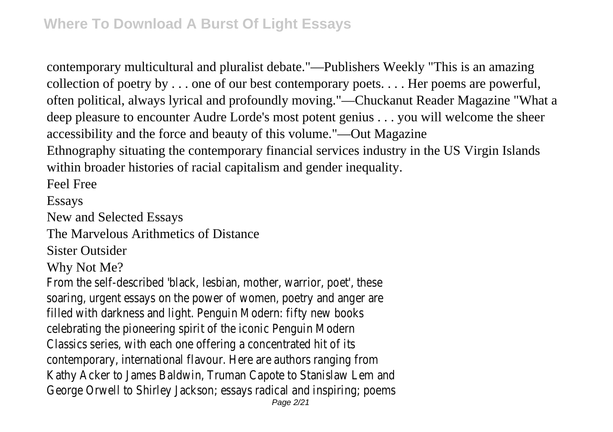contemporary multicultural and pluralist debate."—Publishers Weekly "This is an amazing collection of poetry by . . . one of our best contemporary poets. . . . Her poems are powerful, often political, always lyrical and profoundly moving."—Chuckanut Reader Magazine "What a deep pleasure to encounter Audre Lorde's most potent genius . . . you will welcome the sheer accessibility and the force and beauty of this volume."—Out Magazine Ethnography situating the contemporary financial services industry in the US Virgin Islands

within broader histories of racial capitalism and gender inequality.

Feel Free

Essays

New and Selected Essays

The Marvelous Arithmetics of Distance

Sister Outsider

Why Not Me?

From the self-described 'black, lesbian, mother, warrior, poet', these soaring, urgent essays on the power of women, poetry and anger are filled with darkness and light. Penguin Modern: fifty new books celebrating the pioneering spirit of the iconic Penguin Modern Classics series, with each one offering a concentrated hit of its contemporary, international flavour. Here are authors ranging from Kathy Acker to James Baldwin, Truman Capote to Stanislaw Lem and George Orwell to Shirley Jackson; essays radical and inspiring; poems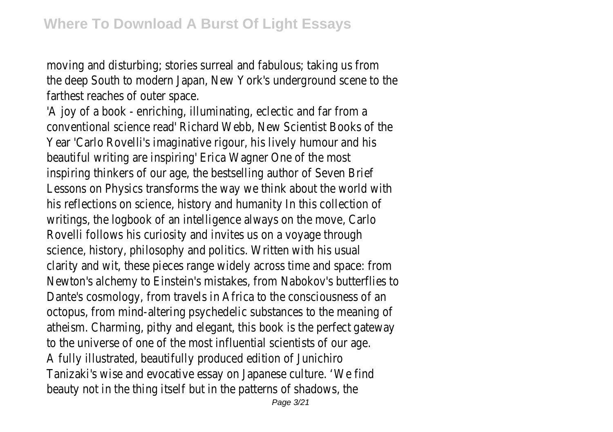moving and disturbing; stories surreal and fabulous; taking us from the deep South to modern Japan, New York's underground scene to the farthest reaches of outer space.

'A joy of a book - enriching, illuminating, eclectic and far from a conventional science read' Richard Webb, New Scientist Books of the Year 'Carlo Rovelli's imaginative rigour, his lively humour and his beautiful writing are inspiring' Erica Wagner One of the most inspiring thinkers of our age, the bestselling author of Seven Brief Lessons on Physics transforms the way we think about the world with his reflections on science, history and humanity In this collection of writings, the logbook of an intelligence always on the move, Carlo Rovelli follows his curiosity and invites us on a voyage through science, history, philosophy and politics. Written with his usual clarity and wit, these pieces range widely across time and space: from Newton's alchemy to Einstein's mistakes, from Nabokov's butterflies to Dante's cosmology, from travels in Africa to the consciousness of an octopus, from mind-altering psychedelic substances to the meaning of atheism. Charming, pithy and elegant, this book is the perfect gateway to the universe of one of the most influential scientists of our age. A fully illustrated, beautifully produced edition of Junichiro Tanizaki's wise and evocative essay on Japanese culture. 'We find beauty not in the thing itself but in the patterns of shadows, the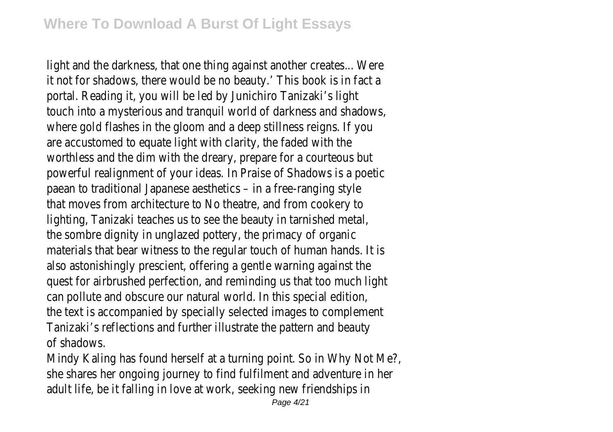light and the darkness, that one thing against another creates... Were it not for shadows, there would be no beauty.' This book is in fact a portal. Reading it, you will be led by Junichiro Tanizaki's light touch into a mysterious and tranquil world of darkness and shadows, where gold flashes in the gloom and a deep stillness reigns. If you are accustomed to equate light with clarity, the faded with the worthless and the dim with the dreary, prepare for a courteous but powerful realignment of your ideas. In Praise of Shadows is a poetic paean to traditional Japanese aesthetics – in a free-ranging style that moves from architecture to No theatre, and from cookery to lighting, Tanizaki teaches us to see the beauty in tarnished metal, the sombre dignity in unglazed pottery, the primacy of organic materials that bear witness to the regular touch of human hands. It is also astonishingly prescient, offering a gentle warning against the quest for airbrushed perfection, and reminding us that too much light can pollute and obscure our natural world. In this special edition, the text is accompanied by specially selected images to complement Tanizaki's reflections and further illustrate the pattern and beauty of shadows.

Mindy Kaling has found herself at a turning point. So in Why Not Me?, she shares her ongoing journey to find fulfilment and adventure in her adult life, be it falling in love at work, seeking new friendships in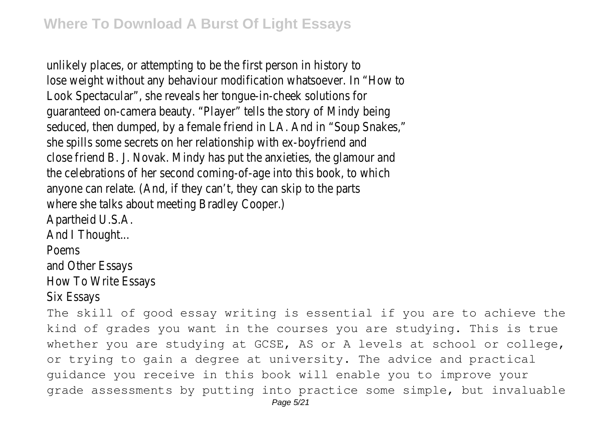unlikely places, or attempting to be the first person in history to lose weight without any behaviour modification whatsoever. In "How to Look Spectacular", she reveals her tongue-in-cheek solutions for guaranteed on-camera beauty. "Player" tells the story of Mindy being seduced, then dumped, by a female friend in LA. And in "Soup Snakes," she spills some secrets on her relationship with ex-boyfriend and close friend B. J. Novak. Mindy has put the anxieties, the glamour and the celebrations of her second coming-of-age into this book, to which anyone can relate. (And, if they can't, they can skip to the parts where she talks about meeting Bradley Cooper.) Apartheid U.S.A. And I Thought... Poems and Other Essays How To Write Essays

Six Essays

The skill of good essay writing is essential if you are to achieve the kind of grades you want in the courses you are studying. This is true whether you are studying at GCSE, AS or A levels at school or college, or trying to gain a degree at university. The advice and practical guidance you receive in this book will enable you to improve your grade assessments by putting into practice some simple, but invaluable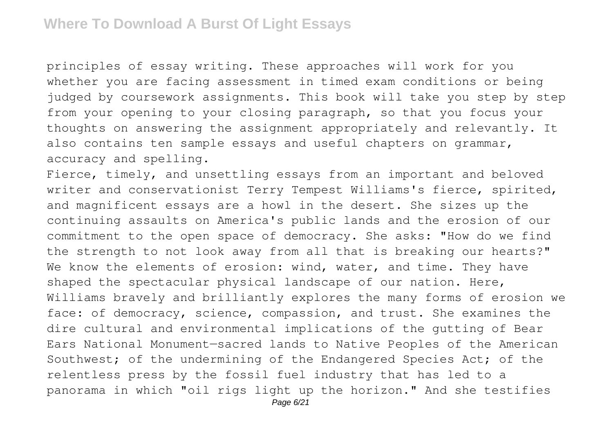principles of essay writing. These approaches will work for you whether you are facing assessment in timed exam conditions or being judged by coursework assignments. This book will take you step by step from your opening to your closing paragraph, so that you focus your thoughts on answering the assignment appropriately and relevantly. It also contains ten sample essays and useful chapters on grammar, accuracy and spelling.

Fierce, timely, and unsettling essays from an important and beloved writer and conservationist Terry Tempest Williams's fierce, spirited, and magnificent essays are a howl in the desert. She sizes up the continuing assaults on America's public lands and the erosion of our commitment to the open space of democracy. She asks: "How do we find the strength to not look away from all that is breaking our hearts?" We know the elements of erosion: wind, water, and time. They have shaped the spectacular physical landscape of our nation. Here, Williams bravely and brilliantly explores the many forms of erosion we face: of democracy, science, compassion, and trust. She examines the dire cultural and environmental implications of the gutting of Bear Ears National Monument—sacred lands to Native Peoples of the American Southwest; of the undermining of the Endangered Species Act; of the relentless press by the fossil fuel industry that has led to a panorama in which "oil rigs light up the horizon." And she testifies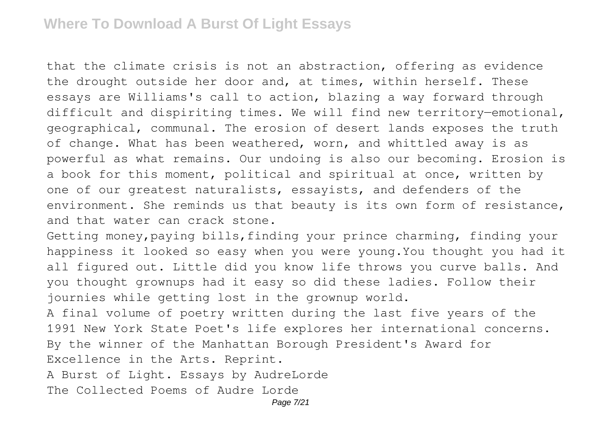that the climate crisis is not an abstraction, offering as evidence the drought outside her door and, at times, within herself. These essays are Williams's call to action, blazing a way forward through difficult and dispiriting times. We will find new territory—emotional, geographical, communal. The erosion of desert lands exposes the truth of change. What has been weathered, worn, and whittled away is as powerful as what remains. Our undoing is also our becoming. Erosion is a book for this moment, political and spiritual at once, written by one of our greatest naturalists, essayists, and defenders of the environment. She reminds us that beauty is its own form of resistance, and that water can crack stone.

Getting money, paying bills, finding your prince charming, finding your happiness it looked so easy when you were young.You thought you had it all figured out. Little did you know life throws you curve balls. And you thought grownups had it easy so did these ladies. Follow their journies while getting lost in the grownup world.

A final volume of poetry written during the last five years of the 1991 New York State Poet's life explores her international concerns. By the winner of the Manhattan Borough President's Award for Excellence in the Arts. Reprint. A Burst of Light. Essays by AudreLorde

The Collected Poems of Audre Lorde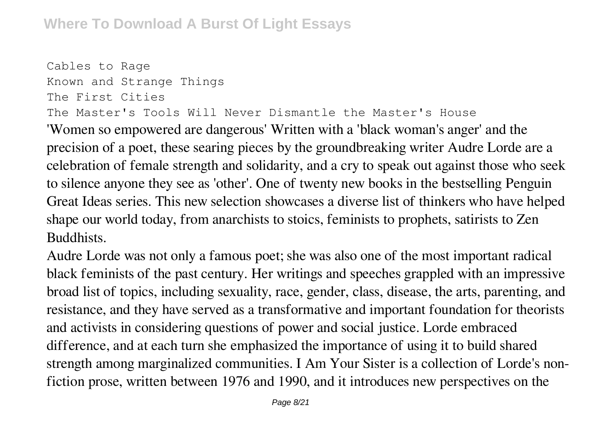```
Cables to Rage
Known and Strange Things
The First Cities
The Master's Tools Will Never Dismantle the Master's House
```
'Women so empowered are dangerous' Written with a 'black woman's anger' and the precision of a poet, these searing pieces by the groundbreaking writer Audre Lorde are a celebration of female strength and solidarity, and a cry to speak out against those who seek to silence anyone they see as 'other'. One of twenty new books in the bestselling Penguin Great Ideas series. This new selection showcases a diverse list of thinkers who have helped shape our world today, from anarchists to stoics, feminists to prophets, satirists to Zen Buddhists.

Audre Lorde was not only a famous poet; she was also one of the most important radical black feminists of the past century. Her writings and speeches grappled with an impressive broad list of topics, including sexuality, race, gender, class, disease, the arts, parenting, and resistance, and they have served as a transformative and important foundation for theorists and activists in considering questions of power and social justice. Lorde embraced difference, and at each turn she emphasized the importance of using it to build shared strength among marginalized communities. I Am Your Sister is a collection of Lorde's nonfiction prose, written between 1976 and 1990, and it introduces new perspectives on the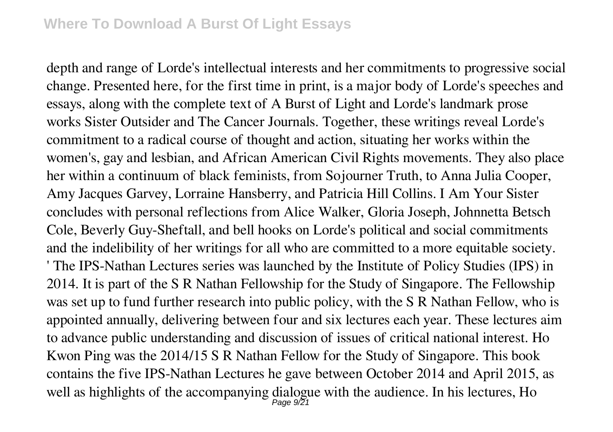depth and range of Lorde's intellectual interests and her commitments to progressive social change. Presented here, for the first time in print, is a major body of Lorde's speeches and essays, along with the complete text of A Burst of Light and Lorde's landmark prose works Sister Outsider and The Cancer Journals. Together, these writings reveal Lorde's commitment to a radical course of thought and action, situating her works within the women's, gay and lesbian, and African American Civil Rights movements. They also place her within a continuum of black feminists, from Sojourner Truth, to Anna Julia Cooper, Amy Jacques Garvey, Lorraine Hansberry, and Patricia Hill Collins. I Am Your Sister concludes with personal reflections from Alice Walker, Gloria Joseph, Johnnetta Betsch Cole, Beverly Guy-Sheftall, and bell hooks on Lorde's political and social commitments and the indelibility of her writings for all who are committed to a more equitable society. ' The IPS-Nathan Lectures series was launched by the Institute of Policy Studies (IPS) in 2014. It is part of the S R Nathan Fellowship for the Study of Singapore. The Fellowship was set up to fund further research into public policy, with the S R Nathan Fellow, who is appointed annually, delivering between four and six lectures each year. These lectures aim to advance public understanding and discussion of issues of critical national interest. Ho Kwon Ping was the 2014/15 S R Nathan Fellow for the Study of Singapore. This book contains the five IPS-Nathan Lectures he gave between October 2014 and April 2015, as well as highlights of the accompanying dialogue with the audience. In his lectures, Ho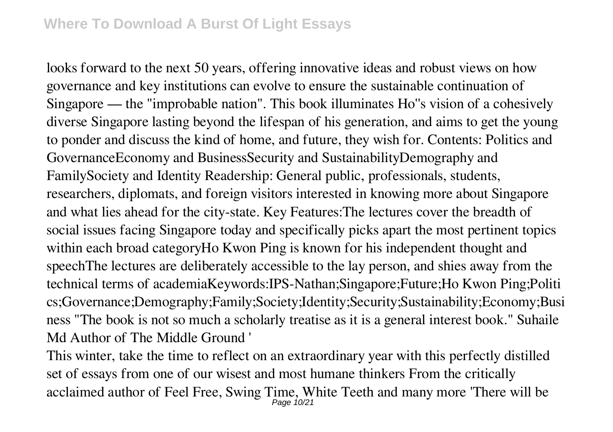looks forward to the next 50 years, offering innovative ideas and robust views on how governance and key institutions can evolve to ensure the sustainable continuation of Singapore — the "improbable nation". This book illuminates Ho''s vision of a cohesively diverse Singapore lasting beyond the lifespan of his generation, and aims to get the young to ponder and discuss the kind of home, and future, they wish for. Contents: Politics and GovernanceEconomy and BusinessSecurity and SustainabilityDemography and FamilySociety and Identity Readership: General public, professionals, students, researchers, diplomats, and foreign visitors interested in knowing more about Singapore and what lies ahead for the city-state. Key Features:The lectures cover the breadth of social issues facing Singapore today and specifically picks apart the most pertinent topics within each broad categoryHo Kwon Ping is known for his independent thought and speechThe lectures are deliberately accessible to the lay person, and shies away from the technical terms of academiaKeywords:IPS-Nathan;Singapore;Future;Ho Kwon Ping;Politi cs;Governance;Demography;Family;Society;Identity;Security;Sustainability;Economy;Busi ness "The book is not so much a scholarly treatise as it is a general interest book." Suhaile Md Author of The Middle Ground '

This winter, take the time to reflect on an extraordinary year with this perfectly distilled set of essays from one of our wisest and most humane thinkers From the critically acclaimed author of Feel Free, Swing Time, White Teeth and many more 'There will be Page 10/21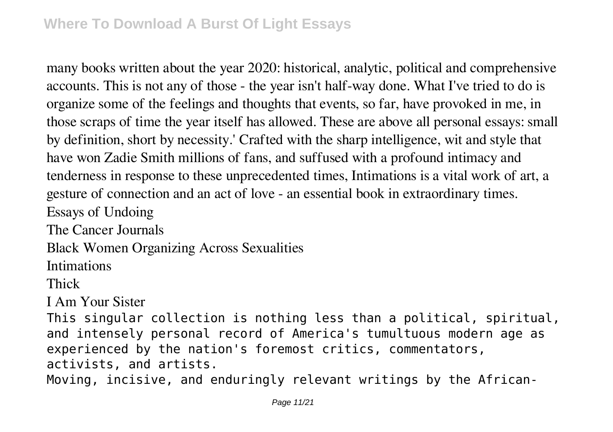many books written about the year 2020: historical, analytic, political and comprehensive accounts. This is not any of those - the year isn't half-way done. What I've tried to do is organize some of the feelings and thoughts that events, so far, have provoked in me, in those scraps of time the year itself has allowed. These are above all personal essays: small by definition, short by necessity.' Crafted with the sharp intelligence, wit and style that have won Zadie Smith millions of fans, and suffused with a profound intimacy and tenderness in response to these unprecedented times, Intimations is a vital work of art, a gesture of connection and an act of love - an essential book in extraordinary times. Essays of Undoing The Cancer Journals Black Women Organizing Across Sexualities Intimations Thick I Am Your Sister This singular collection is nothing less than a political, spiritual, and intensely personal record of America's tumultuous modern age as experienced by the nation's foremost critics, commentators, activists, and artists. Moving, incisive, and enduringly relevant writings by the African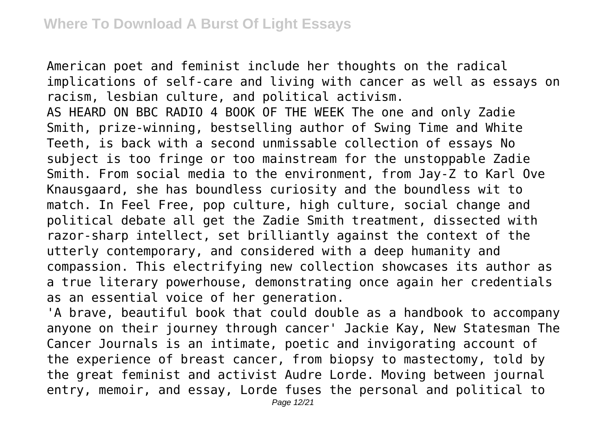American poet and feminist include her thoughts on the radical implications of self-care and living with cancer as well as essays on racism, lesbian culture, and political activism. AS HEARD ON BBC RADIO 4 BOOK OF THE WEEK The one and only Zadie Smith, prize-winning, bestselling author of Swing Time and White Teeth, is back with a second unmissable collection of essays No subject is too fringe or too mainstream for the unstoppable Zadie Smith. From social media to the environment, from Jay-Z to Karl Ove Knausgaard, she has boundless curiosity and the boundless wit to match. In Feel Free, pop culture, high culture, social change and political debate all get the Zadie Smith treatment, dissected with razor-sharp intellect, set brilliantly against the context of the utterly contemporary, and considered with a deep humanity and compassion. This electrifying new collection showcases its author as a true literary powerhouse, demonstrating once again her credentials as an essential voice of her generation.

'A brave, beautiful book that could double as a handbook to accompany anyone on their journey through cancer' Jackie Kay, New Statesman The Cancer Journals is an intimate, poetic and invigorating account of the experience of breast cancer, from biopsy to mastectomy, told by the great feminist and activist Audre Lorde. Moving between journal entry, memoir, and essay, Lorde fuses the personal and political to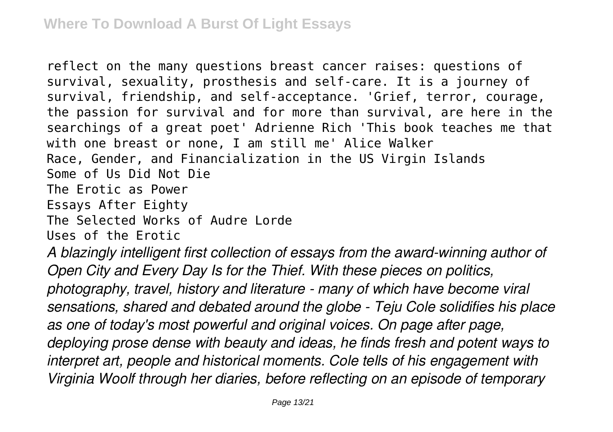reflect on the many questions breast cancer raises: questions of survival, sexuality, prosthesis and self-care. It is a journey of survival, friendship, and self-acceptance. 'Grief, terror, courage, the passion for survival and for more than survival, are here in the searchings of a great poet' Adrienne Rich 'This book teaches me that with one breast or none, I am still me' Alice Walker Race, Gender, and Financialization in the US Virgin Islands Some of Us Did Not Die The Erotic as Power Essays After Eighty The Selected Works of Audre Lorde Uses of the Erotic *A blazingly intelligent first collection of essays from the award-winning author of Open City and Every Day Is for the Thief. With these pieces on politics, photography, travel, history and literature - many of which have become viral sensations, shared and debated around the globe - Teju Cole solidifies his place as one of today's most powerful and original voices. On page after page, deploying prose dense with beauty and ideas, he finds fresh and potent ways to interpret art, people and historical moments. Cole tells of his engagement with Virginia Woolf through her diaries, before reflecting on an episode of temporary*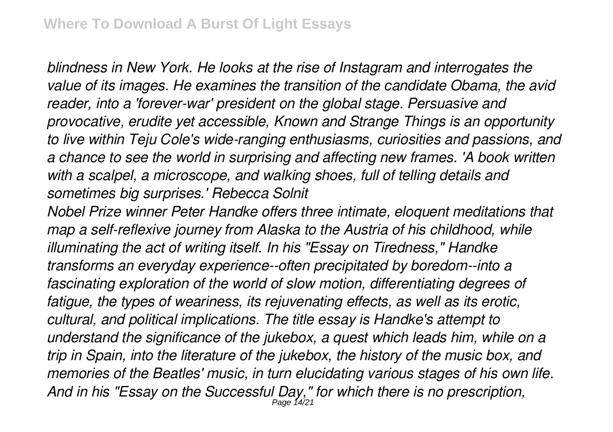*blindness in New York. He looks at the rise of Instagram and interrogates the value of its images. He examines the transition of the candidate Obama, the avid reader, into a 'forever-war' president on the global stage. Persuasive and provocative, erudite yet accessible, Known and Strange Things is an opportunity to live within Teju Cole's wide-ranging enthusiasms, curiosities and passions, and a chance to see the world in surprising and affecting new frames. 'A book written with a scalpel, a microscope, and walking shoes, full of telling details and sometimes big surprises.' Rebecca Solnit*

*Nobel Prize winner Peter Handke offers three intimate, eloquent meditations that map a self-reflexive journey from Alaska to the Austria of his childhood, while illuminating the act of writing itself. In his "Essay on Tiredness," Handke transforms an everyday experience--often precipitated by boredom--into a fascinating exploration of the world of slow motion, differentiating degrees of fatigue, the types of weariness, its rejuvenating effects, as well as its erotic, cultural, and political implications. The title essay is Handke's attempt to understand the significance of the jukebox, a quest which leads him, while on a trip in Spain, into the literature of the jukebox, the history of the music box, and memories of the Beatles' music, in turn elucidating various stages of his own life. And in his "Essay on the Successful Day," for which there is no prescription,* Page 14/21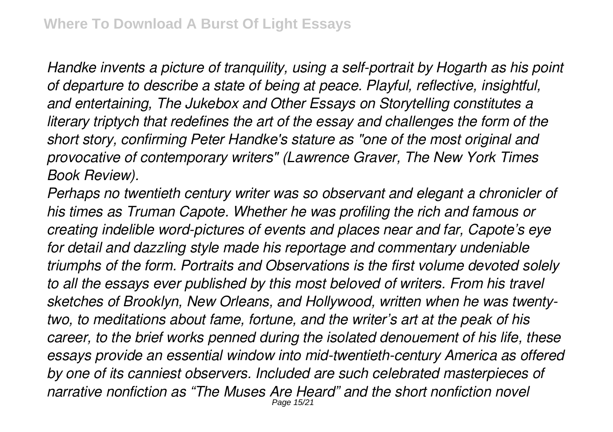*Handke invents a picture of tranquility, using a self-portrait by Hogarth as his point of departure to describe a state of being at peace. Playful, reflective, insightful, and entertaining, The Jukebox and Other Essays on Storytelling constitutes a literary triptych that redefines the art of the essay and challenges the form of the short story, confirming Peter Handke's stature as "one of the most original and provocative of contemporary writers" (Lawrence Graver, The New York Times Book Review).*

*Perhaps no twentieth century writer was so observant and elegant a chronicler of his times as Truman Capote. Whether he was profiling the rich and famous or creating indelible word-pictures of events and places near and far, Capote's eye for detail and dazzling style made his reportage and commentary undeniable triumphs of the form. Portraits and Observations is the first volume devoted solely to all the essays ever published by this most beloved of writers. From his travel sketches of Brooklyn, New Orleans, and Hollywood, written when he was twentytwo, to meditations about fame, fortune, and the writer's art at the peak of his career, to the brief works penned during the isolated denouement of his life, these essays provide an essential window into mid-twentieth-century America as offered by one of its canniest observers. Included are such celebrated masterpieces of narrative nonfiction as "The Muses Are Heard" and the short nonfiction novel* Page 15/21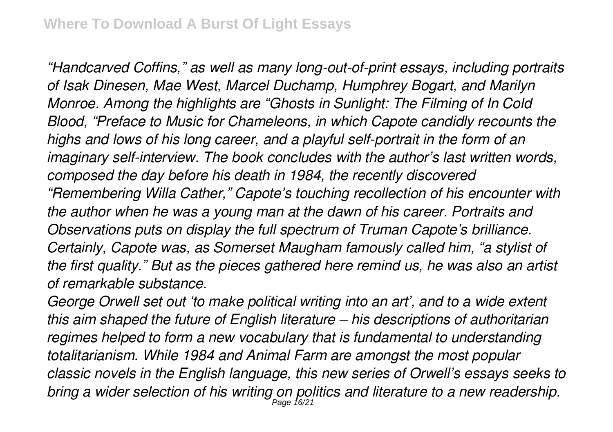*"Handcarved Coffins," as well as many long-out-of-print essays, including portraits of Isak Dinesen, Mae West, Marcel Duchamp, Humphrey Bogart, and Marilyn Monroe. Among the highlights are "Ghosts in Sunlight: The Filming of In Cold Blood, "Preface to Music for Chameleons, in which Capote candidly recounts the highs and lows of his long career, and a playful self-portrait in the form of an imaginary self-interview. The book concludes with the author's last written words, composed the day before his death in 1984, the recently discovered "Remembering Willa Cather," Capote's touching recollection of his encounter with the author when he was a young man at the dawn of his career. Portraits and Observations puts on display the full spectrum of Truman Capote's brilliance. Certainly, Capote was, as Somerset Maugham famously called him, "a stylist of the first quality." But as the pieces gathered here remind us, he was also an artist of remarkable substance.*

*George Orwell set out 'to make political writing into an art', and to a wide extent this aim shaped the future of English literature – his descriptions of authoritarian regimes helped to form a new vocabulary that is fundamental to understanding totalitarianism. While 1984 and Animal Farm are amongst the most popular classic novels in the English language, this new series of Orwell's essays seeks to* bring a wider selection of his writing on politics and literature to a new readership.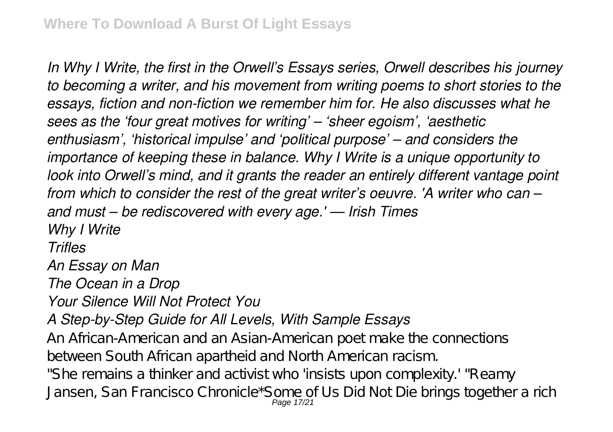*In Why I Write, the first in the Orwell's Essays series, Orwell describes his journey to becoming a writer, and his movement from writing poems to short stories to the essays, fiction and non-fiction we remember him for. He also discusses what he sees as the 'four great motives for writing' – 'sheer egoism', 'aesthetic enthusiasm', 'historical impulse' and 'political purpose' – and considers the importance of keeping these in balance. Why I Write is a unique opportunity to look into Orwell's mind, and it grants the reader an entirely different vantage point from which to consider the rest of the great writer's oeuvre. 'A writer who can – and must – be rediscovered with every age.' — Irish Times Why I Write Trifles An Essay on Man The Ocean in a Drop Your Silence Will Not Protect You A Step-by-Step Guide for All Levels, With Sample Essays* An African-American and an Asian-American poet make the connections between South African apartheid and North American racism. "She remains a thinker and activist who 'insists upon complexity.' "Reamy Jansen, San Francisco Chronicle\*Some of Us Did Not Die brings together a rich Page 17/21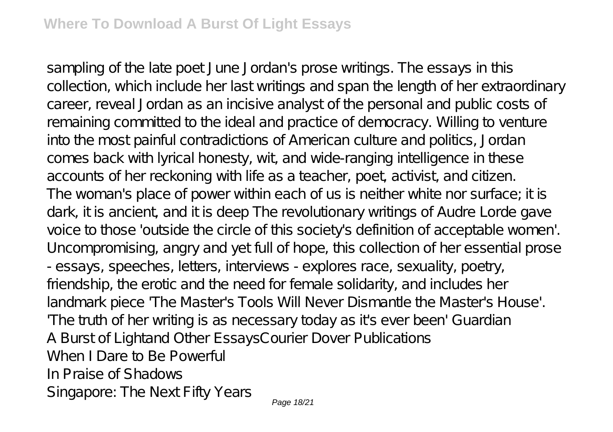sampling of the late poet June Jordan's prose writings. The essays in this collection, which include her last writings and span the length of her extraordinary career, reveal Jordan as an incisive analyst of the personal and public costs of remaining committed to the ideal and practice of democracy. Willing to venture into the most painful contradictions of American culture and politics, Jordan comes back with lyrical honesty, wit, and wide-ranging intelligence in these accounts of her reckoning with life as a teacher, poet, activist, and citizen. The woman's place of power within each of us is neither white nor surface; it is dark, it is ancient, and it is deep The revolutionary writings of Audre Lorde gave voice to those 'outside the circle of this society's definition of acceptable women'. Uncompromising, angry and yet full of hope, this collection of her essential prose - essays, speeches, letters, interviews - explores race, sexuality, poetry, friendship, the erotic and the need for female solidarity, and includes her landmark piece 'The Master's Tools Will Never Dismantle the Master's House'. 'The truth of her writing is as necessary today as it's ever been' Guardian A Burst of Lightand Other EssaysCourier Dover Publications When I Dare to Be Powerful In Praise of Shadows Singapore: The Next Fifty Years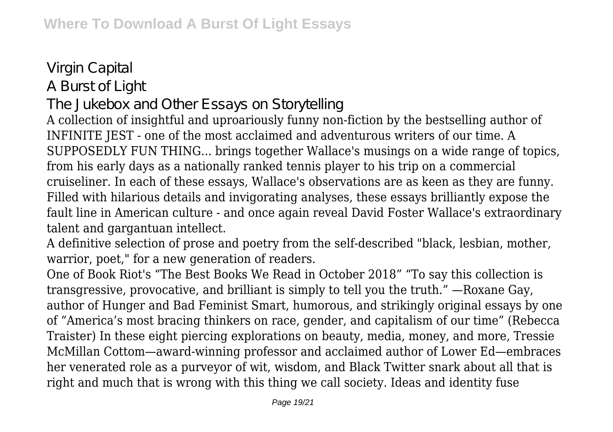## Virgin Capital A Burst of Light

## The Jukebox and Other Essays on Storytelling

A collection of insightful and uproariously funny non-fiction by the bestselling author of INFINITE JEST - one of the most acclaimed and adventurous writers of our time. A SUPPOSEDLY FUN THING... brings together Wallace's musings on a wide range of topics, from his early days as a nationally ranked tennis player to his trip on a commercial cruiseliner. In each of these essays, Wallace's observations are as keen as they are funny. Filled with hilarious details and invigorating analyses, these essays brilliantly expose the fault line in American culture - and once again reveal David Foster Wallace's extraordinary talent and gargantuan intellect.

A definitive selection of prose and poetry from the self-described "black, lesbian, mother, warrior, poet," for a new generation of readers.

One of Book Riot's "The Best Books We Read in October 2018" "To say this collection is transgressive, provocative, and brilliant is simply to tell you the truth." —Roxane Gay, author of Hunger and Bad Feminist Smart, humorous, and strikingly original essays by one of "America's most bracing thinkers on race, gender, and capitalism of our time" (Rebecca Traister) In these eight piercing explorations on beauty, media, money, and more, Tressie McMillan Cottom—award-winning professor and acclaimed author of Lower Ed—embraces her venerated role as a purveyor of wit, wisdom, and Black Twitter snark about all that is right and much that is wrong with this thing we call society. Ideas and identity fuse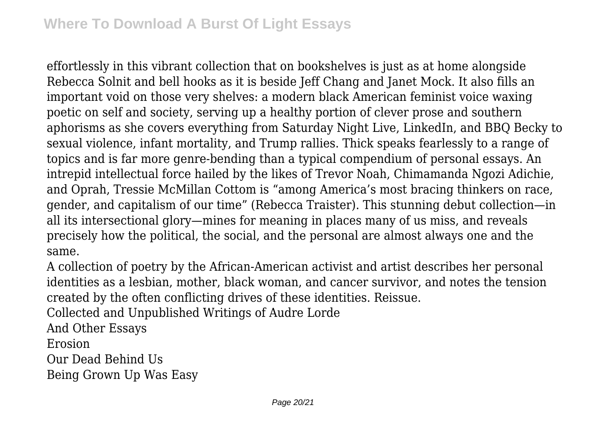effortlessly in this vibrant collection that on bookshelves is just as at home alongside Rebecca Solnit and bell hooks as it is beside Jeff Chang and Janet Mock. It also fills an important void on those very shelves: a modern black American feminist voice waxing poetic on self and society, serving up a healthy portion of clever prose and southern aphorisms as she covers everything from Saturday Night Live, LinkedIn, and BBQ Becky to sexual violence, infant mortality, and Trump rallies. Thick speaks fearlessly to a range of topics and is far more genre-bending than a typical compendium of personal essays. An intrepid intellectual force hailed by the likes of Trevor Noah, Chimamanda Ngozi Adichie, and Oprah, Tressie McMillan Cottom is "among America's most bracing thinkers on race, gender, and capitalism of our time" (Rebecca Traister). This stunning debut collection—in all its intersectional glory—mines for meaning in places many of us miss, and reveals precisely how the political, the social, and the personal are almost always one and the same.

A collection of poetry by the African-American activist and artist describes her personal identities as a lesbian, mother, black woman, and cancer survivor, and notes the tension created by the often conflicting drives of these identities. Reissue.

Collected and Unpublished Writings of Audre Lorde

And Other Essays

Erosion

Our Dead Behind Us

Being Grown Up Was Easy